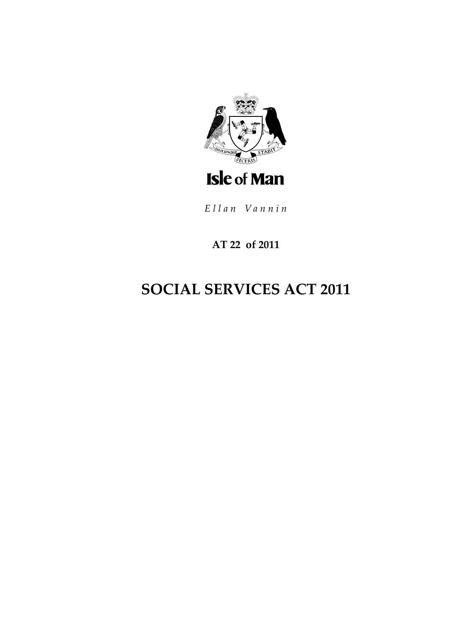

Ellan Vannin

# **AT 22 of 2011**

# **SOCIAL SERVICES ACT 2011**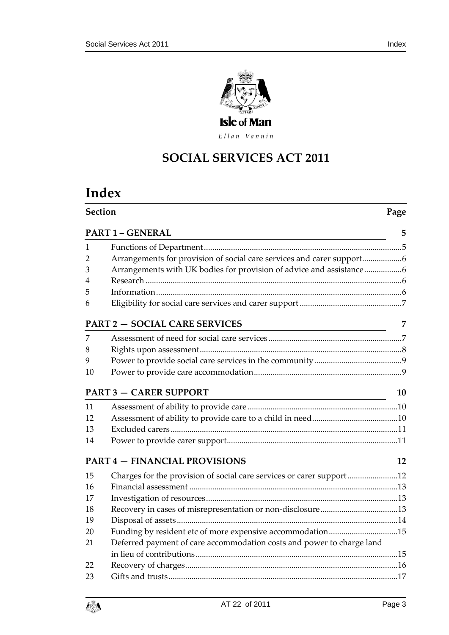

Ellan Vannin

# **SOCIAL SERVICES ACT 2011**

# **Index**

|    | <b>Section</b><br>Page                                                |    |
|----|-----------------------------------------------------------------------|----|
|    | <b>PART 1 - GENERAL</b>                                               | 5  |
| 1  |                                                                       |    |
| 2  | Arrangements for provision of social care services and carer support  |    |
| 3  | Arrangements with UK bodies for provision of advice and assistance6   |    |
| 4  |                                                                       |    |
| 5  |                                                                       |    |
| 6  |                                                                       |    |
|    | <b>PART 2 - SOCIAL CARE SERVICES</b>                                  | 7  |
| 7  |                                                                       |    |
| 8  |                                                                       |    |
| 9  |                                                                       |    |
| 10 |                                                                       |    |
|    | <b>PART 3 - CARER SUPPORT</b>                                         | 10 |
| 11 |                                                                       |    |
| 12 |                                                                       |    |
| 13 |                                                                       |    |
| 14 |                                                                       |    |
|    | <b>PART 4 - FINANCIAL PROVISIONS</b>                                  | 12 |
| 15 | Charges for the provision of social care services or carer support    |    |
| 16 |                                                                       |    |
| 17 |                                                                       |    |
| 18 |                                                                       |    |
| 19 |                                                                       |    |
| 20 | Funding by resident etc of more expensive accommodation15             |    |
| 21 | Deferred payment of care accommodation costs and power to charge land |    |
|    |                                                                       |    |
| 22 |                                                                       |    |



[Gifts and trusts..............................................................................................................17](#page-16-0)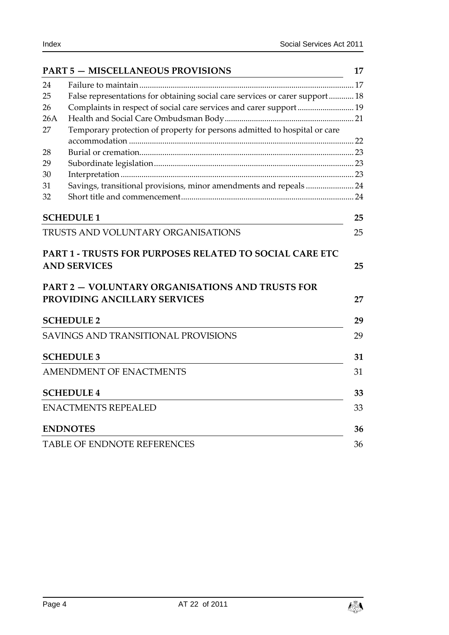|     | <b>PART 5 - MISCELLANEOUS PROVISIONS</b>                                     | 17 |
|-----|------------------------------------------------------------------------------|----|
| 24  |                                                                              |    |
| 25  | False representations for obtaining social care services or carer support 18 |    |
| 26  | Complaints in respect of social care services and carer support 19           |    |
| 26A |                                                                              |    |
| 27  | Temporary protection of property for persons admitted to hospital or care    |    |
|     |                                                                              |    |
| 28  |                                                                              |    |
| 29  |                                                                              |    |
| 30  |                                                                              |    |
| 31  | Savings, transitional provisions, minor amendments and repeals  24           |    |
| 32  |                                                                              |    |
|     | <b>SCHEDULE 1</b>                                                            | 25 |
|     | TRUSTS AND VOLUNTARY ORGANISATIONS                                           | 25 |
|     |                                                                              |    |
|     | <b>PART 1 - TRUSTS FOR PURPOSES RELATED TO SOCIAL CARE ETC</b>               |    |
|     | <b>AND SERVICES</b>                                                          | 25 |
|     | <b>PART 2 - VOLUNTARY ORGANISATIONS AND TRUSTS FOR</b>                       |    |
|     | PROVIDING ANCILLARY SERVICES                                                 |    |
|     |                                                                              | 27 |
|     | <b>SCHEDULE 2</b>                                                            | 29 |
|     | <b>SAVINGS AND TRANSITIONAL PROVISIONS</b>                                   | 29 |
|     | <b>SCHEDULE 3</b>                                                            | 31 |
|     | <b>AMENDMENT OF ENACTMENTS</b>                                               | 31 |
|     | <b>SCHEDULE 4</b>                                                            | 33 |
|     | <b>ENACTMENTS REPEALED</b>                                                   | 33 |
|     | <b>ENDNOTES</b>                                                              | 36 |
|     | <b>TABLE OF ENDNOTE REFERENCES</b>                                           | 36 |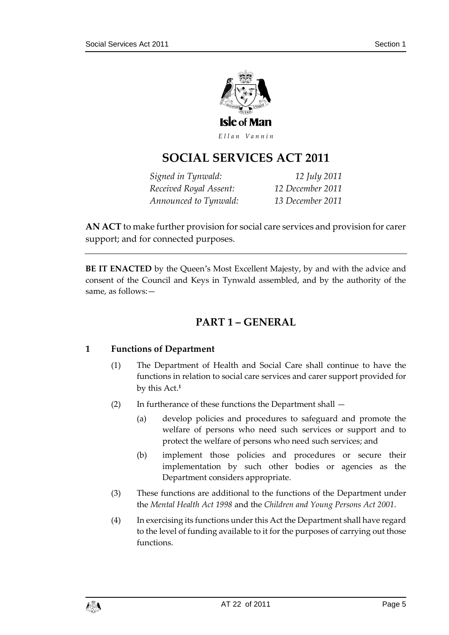

Ellan Vannin

# **SOCIAL SERVICES ACT 2011**

*Signed in Tynwald: 12 July 2011 Received Royal Assent: 12 December 2011 Announced to Tynwald: 13 December 2011*

**AN ACT** to make further provision for social care services and provision for carer support; and for connected purposes.

<span id="page-4-0"></span>**BE IT ENACTED** by the Queen's Most Excellent Majesty, by and with the advice and consent of the Council and Keys in Tynwald assembled, and by the authority of the same, as follows:—

# **PART 1 – GENERAL**

### <span id="page-4-1"></span>**1 Functions of Department**

- (1) The Department of Health and Social Care shall continue to have the functions in relation to social care services and carer support provided for by this Act.**<sup>1</sup>**
- (2) In furtherance of these functions the Department shall
	- (a) develop policies and procedures to safeguard and promote the welfare of persons who need such services or support and to protect the welfare of persons who need such services; and
	- (b) implement those policies and procedures or secure their implementation by such other bodies or agencies as the Department considers appropriate.
- (3) These functions are additional to the functions of the Department under the *Mental Health Act 1998* and the *Children and Young Persons Act 2001*.
- (4) In exercising its functions under this Act the Department shall have regard to the level of funding available to it for the purposes of carrying out those functions.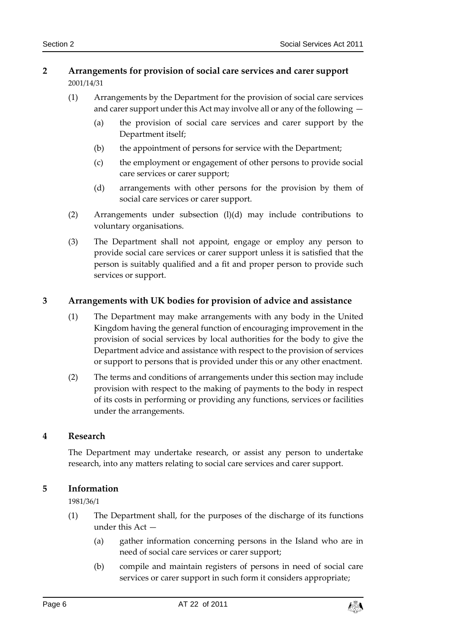# <span id="page-5-0"></span>**2 Arrangements for provision of social care services and carer support** 2001/14/31

- (1) Arrangements by the Department for the provision of social care services and carer support under this Act may involve all or any of the following —
	- (a) the provision of social care services and carer support by the Department itself;
	- (b) the appointment of persons for service with the Department;
	- (c) the employment or engagement of other persons to provide social care services or carer support;
	- (d) arrangements with other persons for the provision by them of social care services or carer support.
- (2) Arrangements under subsection (l)(d) may include contributions to voluntary organisations.
- (3) The Department shall not appoint, engage or employ any person to provide social care services or carer support unless it is satisfied that the person is suitably qualified and a fit and proper person to provide such services or support.

### <span id="page-5-1"></span>**3 Arrangements with UK bodies for provision of advice and assistance**

- (1) The Department may make arrangements with any body in the United Kingdom having the general function of encouraging improvement in the provision of social services by local authorities for the body to give the Department advice and assistance with respect to the provision of services or support to persons that is provided under this or any other enactment.
- (2) The terms and conditions of arrangements under this section may include provision with respect to the making of payments to the body in respect of its costs in performing or providing any functions, services or facilities under the arrangements.

### <span id="page-5-2"></span>**4 Research**

The Department may undertake research, or assist any person to undertake research, into any matters relating to social care services and carer support.

### <span id="page-5-3"></span>**5 Information**

1981/36/1

- (1) The Department shall, for the purposes of the discharge of its functions under this Act —
	- (a) gather information concerning persons in the Island who are in need of social care services or carer support;
	- (b) compile and maintain registers of persons in need of social care services or carer support in such form it considers appropriate;

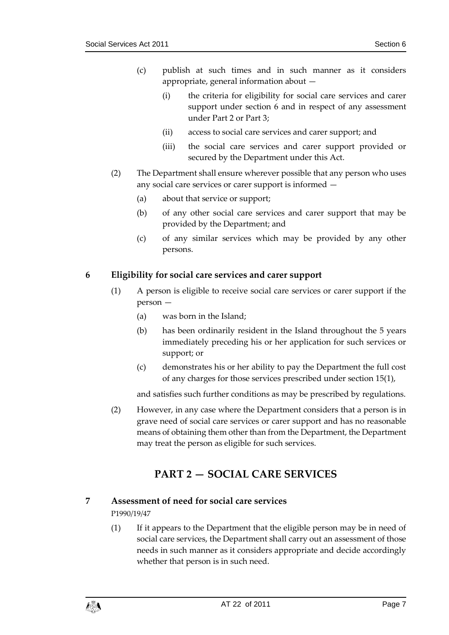- (c) publish at such times and in such manner as it considers appropriate, general information about —
	- (i) the criteria for eligibility for social care services and carer support under section 6 and in respect of any assessment under Part 2 or Part 3;
	- (ii) access to social care services and carer support; and
	- (iii) the social care services and carer support provided or secured by the Department under this Act.
- (2) The Department shall ensure wherever possible that any person who uses any social care services or carer support is informed —
	- (a) about that service or support;
	- (b) of any other social care services and carer support that may be provided by the Department; and
	- (c) of any similar services which may be provided by any other persons.

# <span id="page-6-0"></span>**6 Eligibility for social care services and carer support**

- (1) A person is eligible to receive social care services or carer support if the person —
	- (a) was born in the Island;
	- (b) has been ordinarily resident in the Island throughout the 5 years immediately preceding his or her application for such services or support; or
	- (c) demonstrates his or her ability to pay the Department the full cost of any charges for those services prescribed under section 15(1),

and satisfies such further conditions as may be prescribed by regulations.

(2) However, in any case where the Department considers that a person is in grave need of social care services or carer support and has no reasonable means of obtaining them other than from the Department, the Department may treat the person as eligible for such services.

# **PART 2 — SOCIAL CARE SERVICES**

# <span id="page-6-2"></span><span id="page-6-1"></span>**7 Assessment of need for social care services**

P1990/19/47

(1) If it appears to the Department that the eligible person may be in need of social care services, the Department shall carry out an assessment of those needs in such manner as it considers appropriate and decide accordingly whether that person is in such need.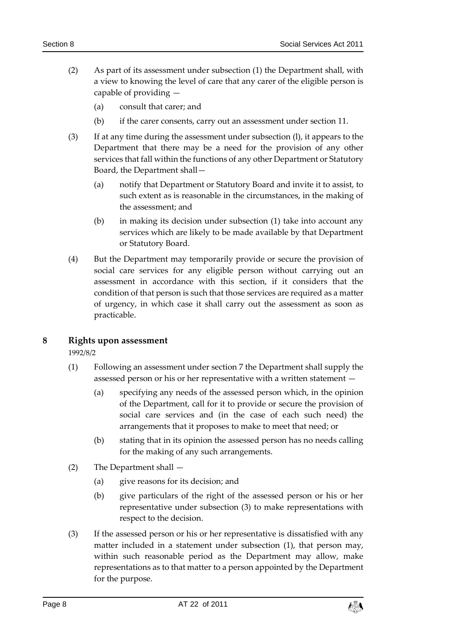- (2) As part of its assessment under subsection (1) the Department shall, with a view to knowing the level of care that any carer of the eligible person is capable of providing —
	- (a) consult that carer; and
	- (b) if the carer consents, carry out an assessment under section 11.
- (3) If at any time during the assessment under subsection (l), it appears to the Department that there may be a need for the provision of any other services that fall within the functions of any other Department or Statutory Board, the Department shall—
	- (a) notify that Department or Statutory Board and invite it to assist, to such extent as is reasonable in the circumstances, in the making of the assessment; and
	- (b) in making its decision under subsection (1) take into account any services which are likely to be made available by that Department or Statutory Board.
- (4) But the Department may temporarily provide or secure the provision of social care services for any eligible person without carrying out an assessment in accordance with this section, if it considers that the condition of that person is such that those services are required as a matter of urgency, in which case it shall carry out the assessment as soon as practicable.

### <span id="page-7-0"></span>**8 Rights upon assessment**

1992/8/2

- (1) Following an assessment under section 7 the Department shall supply the assessed person or his or her representative with a written statement —
	- (a) specifying any needs of the assessed person which, in the opinion of the Department, call for it to provide or secure the provision of social care services and (in the case of each such need) the arrangements that it proposes to make to meet that need; or
	- (b) stating that in its opinion the assessed person has no needs calling for the making of any such arrangements.
- (2) The Department shall
	- (a) give reasons for its decision; and
	- (b) give particulars of the right of the assessed person or his or her representative under subsection (3) to make representations with respect to the decision.
- (3) If the assessed person or his or her representative is dissatisfied with any matter included in a statement under subsection (1), that person may, within such reasonable period as the Department may allow, make representations as to that matter to a person appointed by the Department for the purpose.

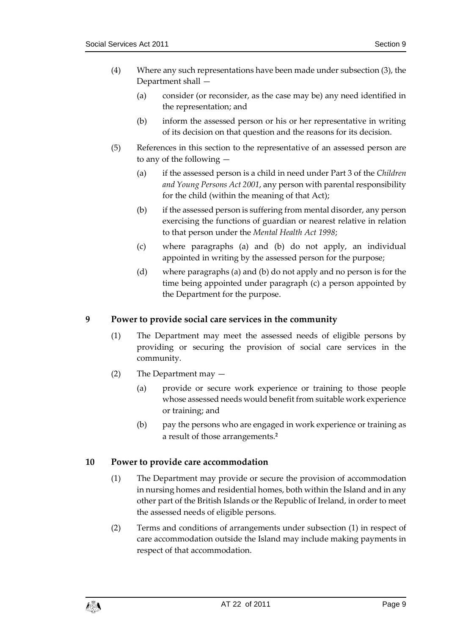- (4) Where any such representations have been made under subsection (3), the Department shall —
	- (a) consider (or reconsider, as the case may be) any need identified in the representation; and
	- (b) inform the assessed person or his or her representative in writing of its decision on that question and the reasons for its decision.
- (5) References in this section to the representative of an assessed person are to any of the following —
	- (a) if the assessed person is a child in need under Part 3 of the *Children and Young Persons Act 2001*, any person with parental responsibility for the child (within the meaning of that Act);
	- (b) if the assessed person is suffering from mental disorder, any person exercising the functions of guardian or nearest relative in relation to that person under the *Mental Health Act 1998*;
	- (c) where paragraphs (a) and (b) do not apply, an individual appointed in writing by the assessed person for the purpose;
	- (d) where paragraphs (a) and (b) do not apply and no person is for the time being appointed under paragraph (c) a person appointed by the Department for the purpose.

# <span id="page-8-0"></span>**9 Power to provide social care services in the community**

- (1) The Department may meet the assessed needs of eligible persons by providing or securing the provision of social care services in the community.
- (2) The Department may
	- (a) provide or secure work experience or training to those people whose assessed needs would benefit from suitable work experience or training; and
	- (b) pay the persons who are engaged in work experience or training as a result of those arrangements.**<sup>2</sup>**

### <span id="page-8-1"></span>**10 Power to provide care accommodation**

- (1) The Department may provide or secure the provision of accommodation in nursing homes and residential homes, both within the Island and in any other part of the British Islands or the Republic of Ireland, in order to meet the assessed needs of eligible persons.
- (2) Terms and conditions of arrangements under subsection (1) in respect of care accommodation outside the Island may include making payments in respect of that accommodation.

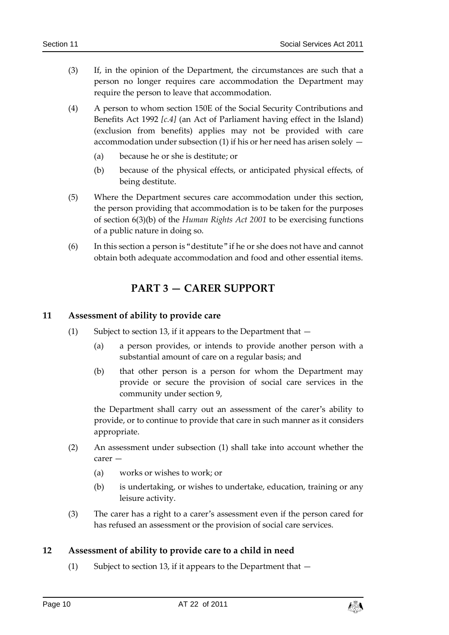- (3) If, in the opinion of the Department, the circumstances are such that a person no longer requires care accommodation the Department may require the person to leave that accommodation.
- (4) A person to whom section 150E of the Social Security Contributions and Benefits Act 1992 *[c.4]* (an Act of Parliament having effect in the Island) (exclusion from benefits) applies may not be provided with care accommodation under subsection (1) if his or her need has arisen solely —
	- (a) because he or she is destitute; or
	- (b) because of the physical effects, or anticipated physical effects, of being destitute.
- (5) Where the Department secures care accommodation under this section, the person providing that accommodation is to be taken for the purposes of section 6(3)(b) of the *Human Rights Act 2001* to be exercising functions of a public nature in doing so.
- <span id="page-9-0"></span>(6) In this section a person is "destitute" if he or she does not have and cannot obtain both adequate accommodation and food and other essential items.

# **PART 3 — CARER SUPPORT**

#### <span id="page-9-1"></span>**11 Assessment of ability to provide care**

- (1) Subject to section 13, if it appears to the Department that
	- (a) a person provides, or intends to provide another person with a substantial amount of care on a regular basis; and
	- (b) that other person is a person for whom the Department may provide or secure the provision of social care services in the community under section 9,

the Department shall carry out an assessment of the carer's ability to provide, or to continue to provide that care in such manner as it considers appropriate.

- (2) An assessment under subsection (1) shall take into account whether the carer —
	- (a) works or wishes to work; or
	- (b) is undertaking, or wishes to undertake, education, training or any leisure activity.
- (3) The carer has a right to a carer's assessment even if the person cared for has refused an assessment or the provision of social care services.

### <span id="page-9-2"></span>**12 Assessment of ability to provide care to a child in need**

(1) Subject to section 13, if it appears to the Department that  $-$ 

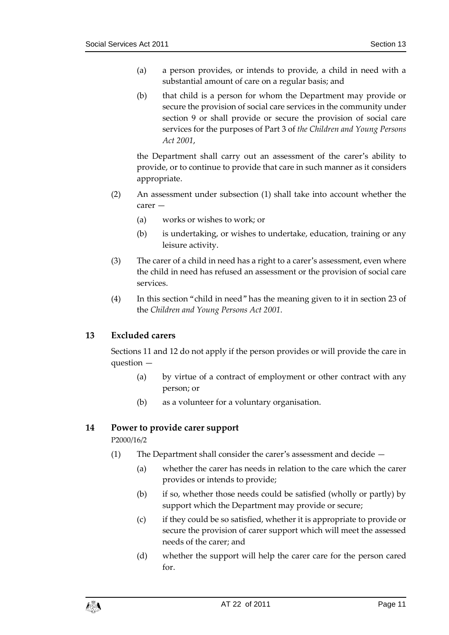- (a) a person provides, or intends to provide, a child in need with a substantial amount of care on a regular basis; and
- (b) that child is a person for whom the Department may provide or secure the provision of social care services in the community under section 9 or shall provide or secure the provision of social care services for the purposes of Part 3 of *the Children and Young Persons Act 2001*,

the Department shall carry out an assessment of the carer's ability to provide, or to continue to provide that care in such manner as it considers appropriate.

- (2) An assessment under subsection (1) shall take into account whether the carer —
	- (a) works or wishes to work; or
	- (b) is undertaking, or wishes to undertake, education, training or any leisure activity.
- (3) The carer of a child in need has a right to a carer's assessment, even where the child in need has refused an assessment or the provision of social care services.
- (4) In this section "child in need" has the meaning given to it in section 23 of the *Children and Young Persons Act 2001*.

### <span id="page-10-0"></span>**13 Excluded carers**

Sections 11 and 12 do not apply if the person provides or will provide the care in question —

- (a) by virtue of a contract of employment or other contract with any person; or
- (b) as a volunteer for a voluntary organisation.

### <span id="page-10-1"></span>**14 Power to provide carer support**

P2000/16/2

- (1) The Department shall consider the carer's assessment and decide
	- (a) whether the carer has needs in relation to the care which the carer provides or intends to provide;
	- (b) if so, whether those needs could be satisfied (wholly or partly) by support which the Department may provide or secure;
	- (c) if they could be so satisfied, whether it is appropriate to provide or secure the provision of carer support which will meet the assessed needs of the carer; and
	- (d) whether the support will help the carer care for the person cared for.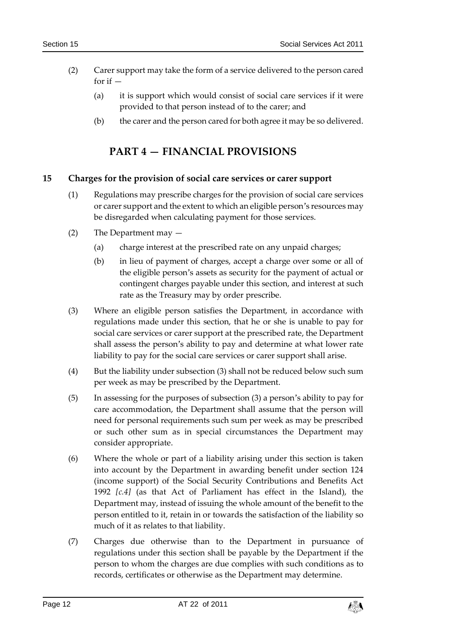- (2) Carer support may take the form of a service delivered to the person cared for if  $-$ 
	- (a) it is support which would consist of social care services if it were provided to that person instead of to the carer; and
	- (b) the carer and the person cared for both agree it may be so delivered.

# **PART 4 — FINANCIAL PROVISIONS**

### <span id="page-11-1"></span><span id="page-11-0"></span>**15 Charges for the provision of social care services or carer support**

- (1) Regulations may prescribe charges for the provision of social care services or carer support and the extent to which an eligible person's resources may be disregarded when calculating payment for those services.
- (2) The Department may
	- (a) charge interest at the prescribed rate on any unpaid charges;
	- (b) in lieu of payment of charges, accept a charge over some or all of the eligible person's assets as security for the payment of actual or contingent charges payable under this section, and interest at such rate as the Treasury may by order prescribe.
- (3) Where an eligible person satisfies the Department, in accordance with regulations made under this section, that he or she is unable to pay for social care services or carer support at the prescribed rate, the Department shall assess the person's ability to pay and determine at what lower rate liability to pay for the social care services or carer support shall arise.
- (4) But the liability under subsection (3) shall not be reduced below such sum per week as may be prescribed by the Department.
- (5) In assessing for the purposes of subsection (3) a person's ability to pay for care accommodation, the Department shall assume that the person will need for personal requirements such sum per week as may be prescribed or such other sum as in special circumstances the Department may consider appropriate.
- (6) Where the whole or part of a liability arising under this section is taken into account by the Department in awarding benefit under section 124 (income support) of the Social Security Contributions and Benefits Act 1992 *[c.4]* (as that Act of Parliament has effect in the Island), the Department may, instead of issuing the whole amount of the benefit to the person entitled to it, retain in or towards the satisfaction of the liability so much of it as relates to that liability.
- (7) Charges due otherwise than to the Department in pursuance of regulations under this section shall be payable by the Department if the person to whom the charges are due complies with such conditions as to records, certificates or otherwise as the Department may determine.

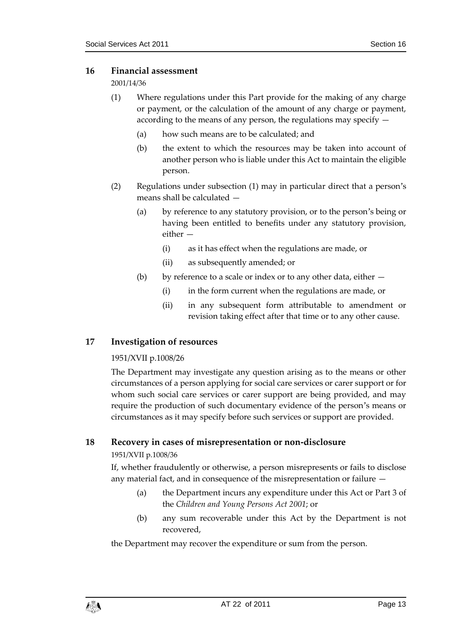#### <span id="page-12-0"></span>**16 Financial assessment**

2001/14/36

- (1) Where regulations under this Part provide for the making of any charge or payment, or the calculation of the amount of any charge or payment, according to the means of any person, the regulations may specify —
	- (a) how such means are to be calculated; and
	- (b) the extent to which the resources may be taken into account of another person who is liable under this Act to maintain the eligible person.
- (2) Regulations under subsection (1) may in particular direct that a person's means shall be calculated —
	- (a) by reference to any statutory provision, or to the person's being or having been entitled to benefits under any statutory provision, either —
		- (i) as it has effect when the regulations are made, or
		- (ii) as subsequently amended; or
	- (b) by reference to a scale or index or to any other data, either  $-$ 
		- (i) in the form current when the regulations are made, or
		- (ii) in any subsequent form attributable to amendment or revision taking effect after that time or to any other cause.

### <span id="page-12-1"></span>**17 Investigation of resources**

### 1951/XVII p.1008/26

The Department may investigate any question arising as to the means or other circumstances of a person applying for social care services or carer support or for whom such social care services or carer support are being provided, and may require the production of such documentary evidence of the person's means or circumstances as it may specify before such services or support are provided.

### <span id="page-12-2"></span>**18 Recovery in cases of misrepresentation or non-disclosure**

### 1951/XVII p.1008/36

If, whether fraudulently or otherwise, a person misrepresents or fails to disclose any material fact, and in consequence of the misrepresentation or failure —

- (a) the Department incurs any expenditure under this Act or Part 3 of the *Children and Young Persons Act 2001*; or
- (b) any sum recoverable under this Act by the Department is not recovered,

the Department may recover the expenditure or sum from the person.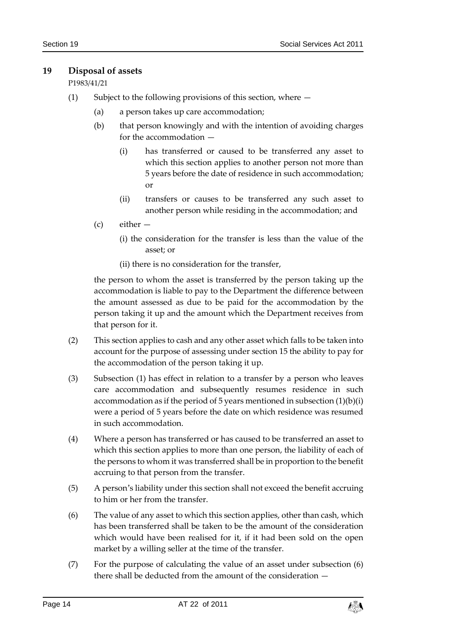# <span id="page-13-0"></span>**19 Disposal of assets**

# P1983/41/21

- (1) Subject to the following provisions of this section, where
	- (a) a person takes up care accommodation;
	- (b) that person knowingly and with the intention of avoiding charges for the accommodation —
		- (i) has transferred or caused to be transferred any asset to which this section applies to another person not more than 5 years before the date of residence in such accommodation; or
		- (ii) transfers or causes to be transferred any such asset to another person while residing in the accommodation; and
	- (c) either
		- (i) the consideration for the transfer is less than the value of the asset; or
		- (ii) there is no consideration for the transfer,

the person to whom the asset is transferred by the person taking up the accommodation is liable to pay to the Department the difference between the amount assessed as due to be paid for the accommodation by the person taking it up and the amount which the Department receives from that person for it.

- (2) This section applies to cash and any other asset which falls to be taken into account for the purpose of assessing under section 15 the ability to pay for the accommodation of the person taking it up.
- (3) Subsection (1) has effect in relation to a transfer by a person who leaves care accommodation and subsequently resumes residence in such accommodation as if the period of 5 years mentioned in subsection  $(1)(b)(i)$ were a period of 5 years before the date on which residence was resumed in such accommodation.
- (4) Where a person has transferred or has caused to be transferred an asset to which this section applies to more than one person, the liability of each of the persons to whom it was transferred shall be in proportion to the benefit accruing to that person from the transfer.
- (5) A person's liability under this section shall not exceed the benefit accruing to him or her from the transfer.
- (6) The value of any asset to which this section applies, other than cash, which has been transferred shall be taken to be the amount of the consideration which would have been realised for it, if it had been sold on the open market by a willing seller at the time of the transfer.
- (7) For the purpose of calculating the value of an asset under subsection (6) there shall be deducted from the amount of the consideration —

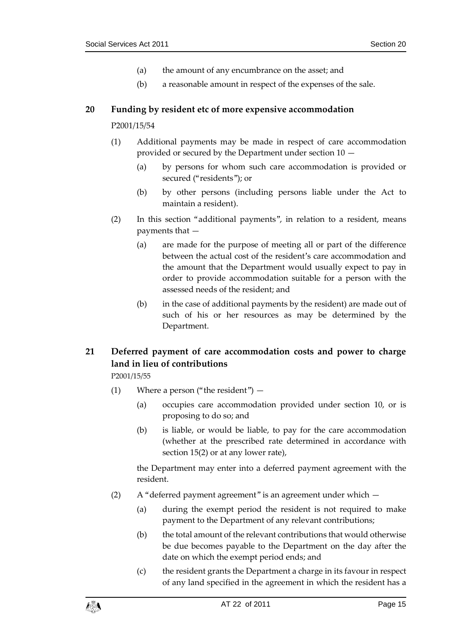- (a) the amount of any encumbrance on the asset; and
- (b) a reasonable amount in respect of the expenses of the sale.

#### <span id="page-14-0"></span>**20 Funding by resident etc of more expensive accommodation**

#### P2001/15/54

- (1) Additional payments may be made in respect of care accommodation provided or secured by the Department under section 10 —
	- (a) by persons for whom such care accommodation is provided or secured ("residents"); or
	- (b) by other persons (including persons liable under the Act to maintain a resident).
- (2) In this section "additional payments", in relation to a resident, means payments that —
	- (a) are made for the purpose of meeting all or part of the difference between the actual cost of the resident's care accommodation and the amount that the Department would usually expect to pay in order to provide accommodation suitable for a person with the assessed needs of the resident; and
	- (b) in the case of additional payments by the resident) are made out of such of his or her resources as may be determined by the Department.

# <span id="page-14-1"></span>**21 Deferred payment of care accommodation costs and power to charge land in lieu of contributions**

### P2001/15/55

- (1) Where a person ("the resident")
	- (a) occupies care accommodation provided under section 10, or is proposing to do so; and
	- (b) is liable, or would be liable, to pay for the care accommodation (whether at the prescribed rate determined in accordance with section 15(2) or at any lower rate),

the Department may enter into a deferred payment agreement with the resident.

- (2) A "deferred payment agreement" is an agreement under which
	- (a) during the exempt period the resident is not required to make payment to the Department of any relevant contributions;
	- (b) the total amount of the relevant contributions that would otherwise be due becomes payable to the Department on the day after the date on which the exempt period ends; and
	- (c) the resident grants the Department a charge in its favour in respect of any land specified in the agreement in which the resident has a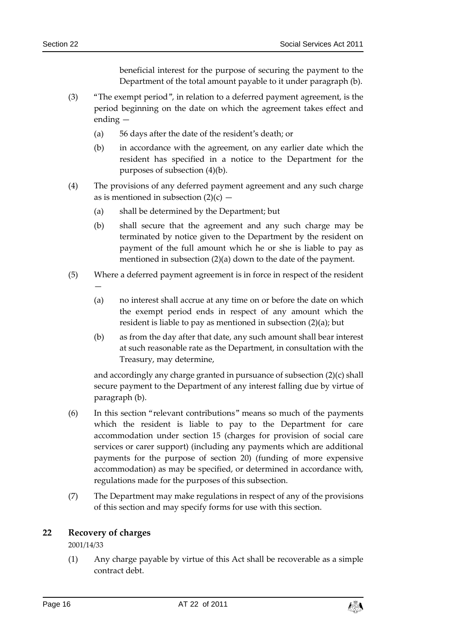beneficial interest for the purpose of securing the payment to the Department of the total amount payable to it under paragraph (b).

- (3) "The exempt period", in relation to a deferred payment agreement, is the period beginning on the date on which the agreement takes effect and ending —
	- (a) 56 days after the date of the resident's death; or
	- (b) in accordance with the agreement, on any earlier date which the resident has specified in a notice to the Department for the purposes of subsection (4)(b).
- (4) The provisions of any deferred payment agreement and any such charge as is mentioned in subsection  $(2)(c)$  –
	- (a) shall be determined by the Department; but
	- (b) shall secure that the agreement and any such charge may be terminated by notice given to the Department by the resident on payment of the full amount which he or she is liable to pay as mentioned in subsection (2)(a) down to the date of the payment.
- (5) Where a deferred payment agreement is in force in respect of the resident
	- (a) no interest shall accrue at any time on or before the date on which the exempt period ends in respect of any amount which the resident is liable to pay as mentioned in subsection (2)(a); but
	- (b) as from the day after that date, any such amount shall bear interest at such reasonable rate as the Department, in consultation with the Treasury, may determine,

and accordingly any charge granted in pursuance of subsection (2)(c) shall secure payment to the Department of any interest falling due by virtue of paragraph (b).

- (6) In this section "relevant contributions" means so much of the payments which the resident is liable to pay to the Department for care accommodation under section 15 (charges for provision of social care services or carer support) (including any payments which are additional payments for the purpose of section 20) (funding of more expensive accommodation) as may be specified, or determined in accordance with, regulations made for the purposes of this subsection.
- (7) The Department may make regulations in respect of any of the provisions of this section and may specify forms for use with this section.

# <span id="page-15-0"></span>**22 Recovery of charges**

—

2001/14/33

(1) Any charge payable by virtue of this Act shall be recoverable as a simple contract debt.

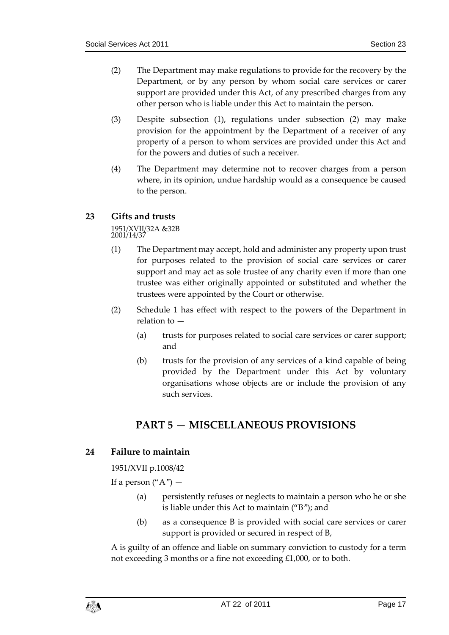- (2) The Department may make regulations to provide for the recovery by the Department, or by any person by whom social care services or carer support are provided under this Act, of any prescribed charges from any other person who is liable under this Act to maintain the person.
- (3) Despite subsection (1), regulations under subsection (2) may make provision for the appointment by the Department of a receiver of any property of a person to whom services are provided under this Act and for the powers and duties of such a receiver.
- (4) The Department may determine not to recover charges from a person where, in its opinion, undue hardship would as a consequence be caused to the person.

# <span id="page-16-0"></span>**23 Gifts and trusts**

1951/XVII/32A &32B 2001/14/37

- (1) The Department may accept, hold and administer any property upon trust for purposes related to the provision of social care services or carer support and may act as sole trustee of any charity even if more than one trustee was either originally appointed or substituted and whether the trustees were appointed by the Court or otherwise.
- (2) Schedule 1 has effect with respect to the powers of the Department in relation to —
	- (a) trusts for purposes related to social care services or carer support; and
	- (b) trusts for the provision of any services of a kind capable of being provided by the Department under this Act by voluntary organisations whose objects are or include the provision of any such services.

# **PART 5 — MISCELLANEOUS PROVISIONS**

# <span id="page-16-2"></span><span id="page-16-1"></span>**24 Failure to maintain**

1951/XVII p.1008/42

If a person  $({}^{\omega}A^{\prime\prime})$  —

- (a) persistently refuses or neglects to maintain a person who he or she is liable under this Act to maintain ("B"); and
- (b) as a consequence B is provided with social care services or carer support is provided or secured in respect of B,

A is guilty of an offence and liable on summary conviction to custody for a term not exceeding 3 months or a fine not exceeding £1,000, or to both.

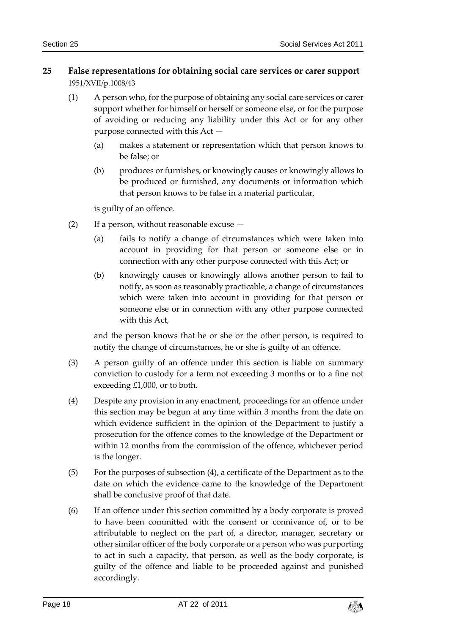# <span id="page-17-0"></span>**25 False representations for obtaining social care services or carer support** 1951/XVII/p.1008/43

- (1) A person who, for the purpose of obtaining any social care services or carer support whether for himself or herself or someone else, or for the purpose of avoiding or reducing any liability under this Act or for any other purpose connected with this Act —
	- (a) makes a statement or representation which that person knows to be false; or
	- (b) produces or furnishes, or knowingly causes or knowingly allows to be produced or furnished, any documents or information which that person knows to be false in a material particular,

is guilty of an offence.

- (2) If a person, without reasonable excuse
	- (a) fails to notify a change of circumstances which were taken into account in providing for that person or someone else or in connection with any other purpose connected with this Act; or
	- (b) knowingly causes or knowingly allows another person to fail to notify, as soon as reasonably practicable, a change of circumstances which were taken into account in providing for that person or someone else or in connection with any other purpose connected with this Act,

and the person knows that he or she or the other person, is required to notify the change of circumstances, he or she is guilty of an offence.

- (3) A person guilty of an offence under this section is liable on summary conviction to custody for a term not exceeding 3 months or to a fine not exceeding £1,000, or to both.
- (4) Despite any provision in any enactment, proceedings for an offence under this section may be begun at any time within 3 months from the date on which evidence sufficient in the opinion of the Department to justify a prosecution for the offence comes to the knowledge of the Department or within 12 months from the commission of the offence, whichever period is the longer.
- (5) For the purposes of subsection (4), a certificate of the Department as to the date on which the evidence came to the knowledge of the Department shall be conclusive proof of that date.
- (6) If an offence under this section committed by a body corporate is proved to have been committed with the consent or connivance of, or to be attributable to neglect on the part of, a director, manager, secretary or other similar officer of the body corporate or a person who was purporting to act in such a capacity, that person, as well as the body corporate, is guilty of the offence and liable to be proceeded against and punished accordingly.

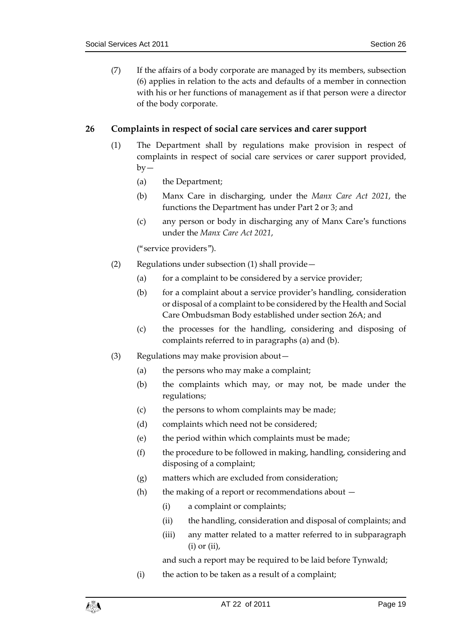(7) If the affairs of a body corporate are managed by its members, subsection (6) applies in relation to the acts and defaults of a member in connection with his or her functions of management as if that person were a director of the body corporate.

# <span id="page-18-0"></span>**26 Complaints in respect of social care services and carer support**

- (1) The Department shall by regulations make provision in respect of complaints in respect of social care services or carer support provided,  $by-$ 
	- (a) the Department;
	- (b) Manx Care in discharging, under the *Manx Care Act 2021*, the functions the Department has under Part 2 or 3; and
	- (c) any person or body in discharging any of Manx Care's functions under the *Manx Care Act 2021*,

("service providers").

- (2) Regulations under subsection (1) shall provide—
	- (a) for a complaint to be considered by a service provider;
	- (b) for a complaint about a service provider's handling, consideration or disposal of a complaint to be considered by the Health and Social Care Ombudsman Body established under section 26A; and
	- (c) the processes for the handling, considering and disposing of complaints referred to in paragraphs (a) and (b).
- (3) Regulations may make provision about—
	- (a) the persons who may make a complaint;
	- (b) the complaints which may, or may not, be made under the regulations;
	- (c) the persons to whom complaints may be made;
	- (d) complaints which need not be considered;
	- (e) the period within which complaints must be made;
	- (f) the procedure to be followed in making, handling, considering and disposing of a complaint;
	- (g) matters which are excluded from consideration;
	- (h) the making of a report or recommendations about  $-$ 
		- (i) a complaint or complaints;
		- (ii) the handling, consideration and disposal of complaints; and
		- (iii) any matter related to a matter referred to in subparagraph  $(i)$  or  $(ii)$ ,

and such a report may be required to be laid before Tynwald;

(i) the action to be taken as a result of a complaint;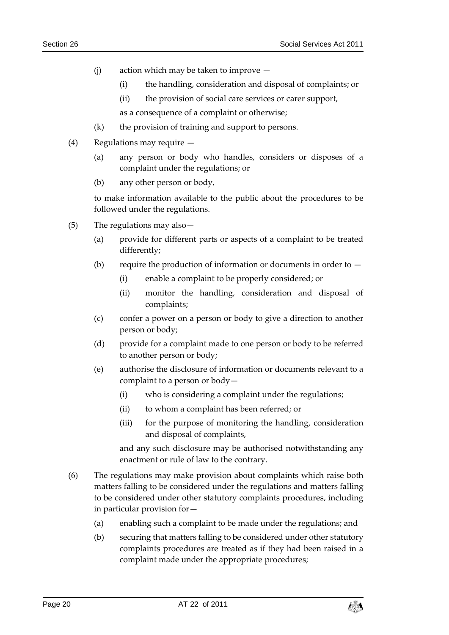- (i) action which may be taken to improve  $-$ 
	- (i) the handling, consideration and disposal of complaints; or
	- (ii) the provision of social care services or carer support,

as a consequence of a complaint or otherwise;

- (k) the provision of training and support to persons.
- (4) Regulations may require
	- (a) any person or body who handles, considers or disposes of a complaint under the regulations; or
	- (b) any other person or body,

to make information available to the public about the procedures to be followed under the regulations.

- (5) The regulations may also—
	- (a) provide for different parts or aspects of a complaint to be treated differently;
	- (b) require the production of information or documents in order to  $-$ 
		- (i) enable a complaint to be properly considered; or
		- (ii) monitor the handling, consideration and disposal of complaints;
	- (c) confer a power on a person or body to give a direction to another person or body;
	- (d) provide for a complaint made to one person or body to be referred to another person or body;
	- (e) authorise the disclosure of information or documents relevant to a complaint to a person or body—
		- (i) who is considering a complaint under the regulations;
		- (ii) to whom a complaint has been referred; or
		- (iii) for the purpose of monitoring the handling, consideration and disposal of complaints,

and any such disclosure may be authorised notwithstanding any enactment or rule of law to the contrary.

- (6) The regulations may make provision about complaints which raise both matters falling to be considered under the regulations and matters falling to be considered under other statutory complaints procedures, including in particular provision for—
	- (a) enabling such a complaint to be made under the regulations; and
	- (b) securing that matters falling to be considered under other statutory complaints procedures are treated as if they had been raised in a complaint made under the appropriate procedures;

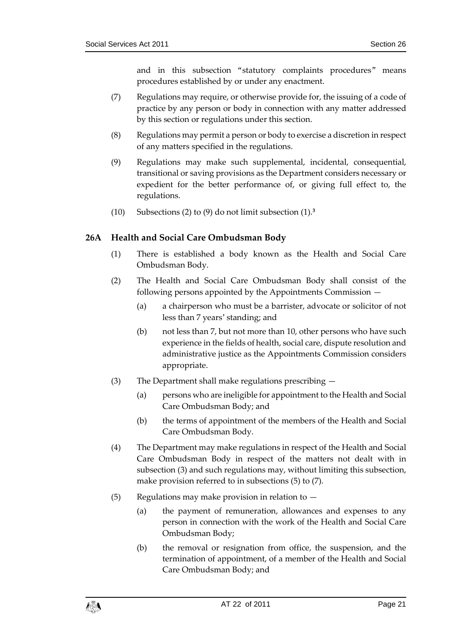and in this subsection "statutory complaints procedures" means procedures established by or under any enactment.

- (7) Regulations may require, or otherwise provide for, the issuing of a code of practice by any person or body in connection with any matter addressed by this section or regulations under this section.
- (8) Regulations may permit a person or body to exercise a discretion in respect of any matters specified in the regulations.
- (9) Regulations may make such supplemental, incidental, consequential, transitional or saving provisions as the Department considers necessary or expedient for the better performance of, or giving full effect to, the regulations.
- (10) Subsections (2) to (9) do not limit subsection (1).**<sup>3</sup>**

### <span id="page-20-0"></span>**26A Health and Social Care Ombudsman Body**

- (1) There is established a body known as the Health and Social Care Ombudsman Body.
- (2) The Health and Social Care Ombudsman Body shall consist of the following persons appointed by the Appointments Commission —
	- (a) a chairperson who must be a barrister, advocate or solicitor of not less than 7 years' standing; and
	- (b) not less than 7, but not more than 10, other persons who have such experience in the fields of health, social care, dispute resolution and administrative justice as the Appointments Commission considers appropriate.
- (3) The Department shall make regulations prescribing
	- (a) persons who are ineligible for appointment to the Health and Social Care Ombudsman Body; and
	- (b) the terms of appointment of the members of the Health and Social Care Ombudsman Body.
- (4) The Department may make regulations in respect of the Health and Social Care Ombudsman Body in respect of the matters not dealt with in subsection (3) and such regulations may, without limiting this subsection, make provision referred to in subsections (5) to (7).
- $(5)$  Regulations may make provision in relation to  $-$ 
	- (a) the payment of remuneration, allowances and expenses to any person in connection with the work of the Health and Social Care Ombudsman Body;
	- (b) the removal or resignation from office, the suspension, and the termination of appointment, of a member of the Health and Social Care Ombudsman Body; and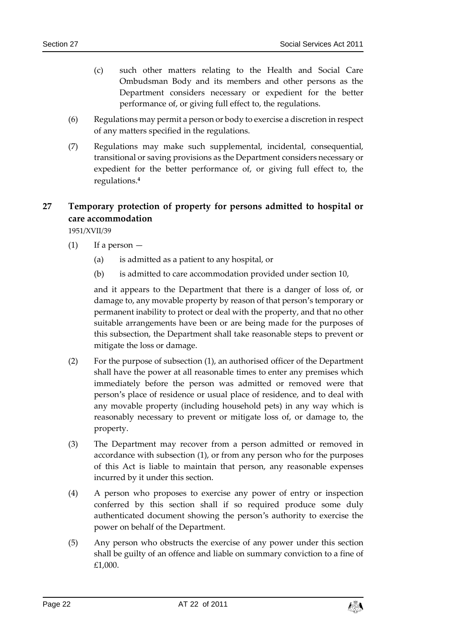- (c) such other matters relating to the Health and Social Care Ombudsman Body and its members and other persons as the Department considers necessary or expedient for the better performance of, or giving full effect to, the regulations.
- (6) Regulations may permit a person or body to exercise a discretion in respect of any matters specified in the regulations.
- (7) Regulations may make such supplemental, incidental, consequential, transitional or saving provisions as the Department considers necessary or expedient for the better performance of, or giving full effect to, the regulations.**<sup>4</sup>**

# <span id="page-21-0"></span>**27 Temporary protection of property for persons admitted to hospital or care accommodation**

1951/XVII/39

- $(1)$  If a person  $-$ 
	- (a) is admitted as a patient to any hospital, or
	- (b) is admitted to care accommodation provided under section 10,

and it appears to the Department that there is a danger of loss of, or damage to, any movable property by reason of that person's temporary or permanent inability to protect or deal with the property, and that no other suitable arrangements have been or are being made for the purposes of this subsection, the Department shall take reasonable steps to prevent or mitigate the loss or damage.

- (2) For the purpose of subsection (1), an authorised officer of the Department shall have the power at all reasonable times to enter any premises which immediately before the person was admitted or removed were that person's place of residence or usual place of residence, and to deal with any movable property (including household pets) in any way which is reasonably necessary to prevent or mitigate loss of, or damage to, the property.
- (3) The Department may recover from a person admitted or removed in accordance with subsection (1), or from any person who for the purposes of this Act is liable to maintain that person, any reasonable expenses incurred by it under this section.
- (4) A person who proposes to exercise any power of entry or inspection conferred by this section shall if so required produce some duly authenticated document showing the person's authority to exercise the power on behalf of the Department.
- (5) Any person who obstructs the exercise of any power under this section shall be guilty of an offence and liable on summary conviction to a fine of £1,000.

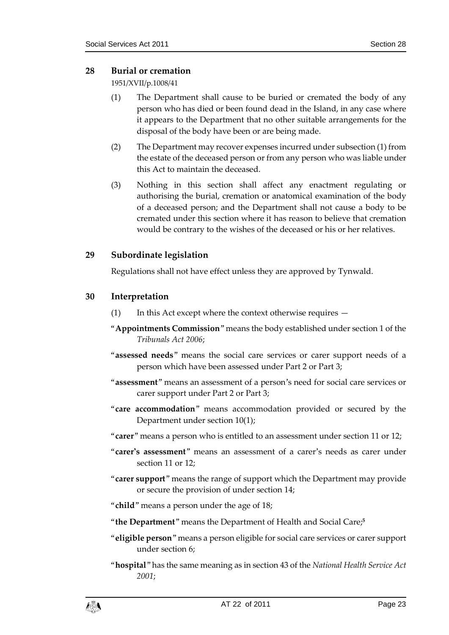### <span id="page-22-0"></span>**28 Burial or cremation**

1951/XVII/p.1008/41

- (1) The Department shall cause to be buried or cremated the body of any person who has died or been found dead in the Island, in any case where it appears to the Department that no other suitable arrangements for the disposal of the body have been or are being made.
- (2) The Department may recover expenses incurred under subsection (1) from the estate of the deceased person or from any person who was liable under this Act to maintain the deceased.
- (3) Nothing in this section shall affect any enactment regulating or authorising the burial, cremation or anatomical examination of the body of a deceased person; and the Department shall not cause a body to be cremated under this section where it has reason to believe that cremation would be contrary to the wishes of the deceased or his or her relatives.

# <span id="page-22-1"></span>**29 Subordinate legislation**

Regulations shall not have effect unless they are approved by Tynwald.

# <span id="page-22-2"></span>**30 Interpretation**

- (1) In this Act except where the context otherwise requires —
- "**Appointments Commission**" means the body established under section 1 of the *Tribunals Act 2006*;
- "**assessed needs**" means the social care services or carer support needs of a person which have been assessed under Part 2 or Part 3;
- "**assessment**" means an assessment of a person's need for social care services or carer support under Part 2 or Part 3;
- "**care accommodation**" means accommodation provided or secured by the Department under section 10(1);
- "**carer**" means a person who is entitled to an assessment under section 11 or 12;
- "**carer's assessment**" means an assessment of a carer's needs as carer under section 11 or 12;
- "**carer support**" means the range of support which the Department may provide or secure the provision of under section 14;
- "**child**" means a person under the age of 18;
- "**the Department**" means the Department of Health and Social Care;**<sup>5</sup>**
- "**eligible person**" means a person eligible for social care services or carer support under section 6;
- "**hospital**" has the same meaning as in section 43 of the *National Health Service Act 2001*;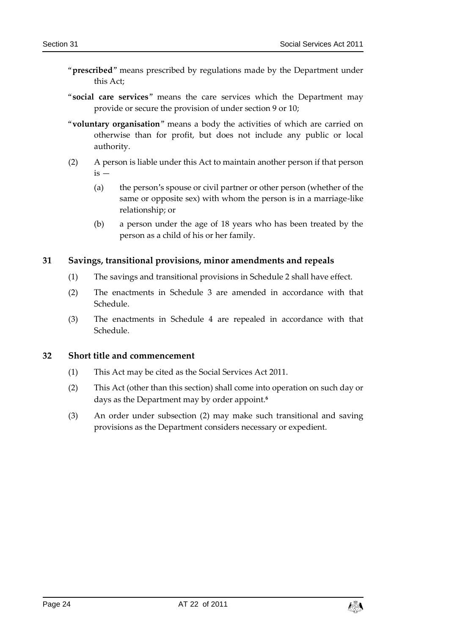- "**prescribed**" means prescribed by regulations made by the Department under this Act;
- "**social care services**" means the care services which the Department may provide or secure the provision of under section 9 or 10;
- "**voluntary organisation**" means a body the activities of which are carried on otherwise than for profit, but does not include any public or local authority.
- (2) A person is liable under this Act to maintain another person if that person  $is -$ 
	- (a) the person's spouse or civil partner or other person (whether of the same or opposite sex) with whom the person is in a marriage-like relationship; or
	- (b) a person under the age of 18 years who has been treated by the person as a child of his or her family.

### <span id="page-23-0"></span>**31 Savings, transitional provisions, minor amendments and repeals**

- (1) The savings and transitional provisions in Schedule 2 shall have effect.
- (2) The enactments in Schedule 3 are amended in accordance with that Schedule.
- (3) The enactments in Schedule 4 are repealed in accordance with that Schedule.

#### <span id="page-23-1"></span>**32 Short title and commencement**

- (1) This Act may be cited as the Social Services Act 2011.
- (2) This Act (other than this section) shall come into operation on such day or days as the Department may by order appoint.**<sup>6</sup>**
- (3) An order under subsection (2) may make such transitional and saving provisions as the Department considers necessary or expedient.

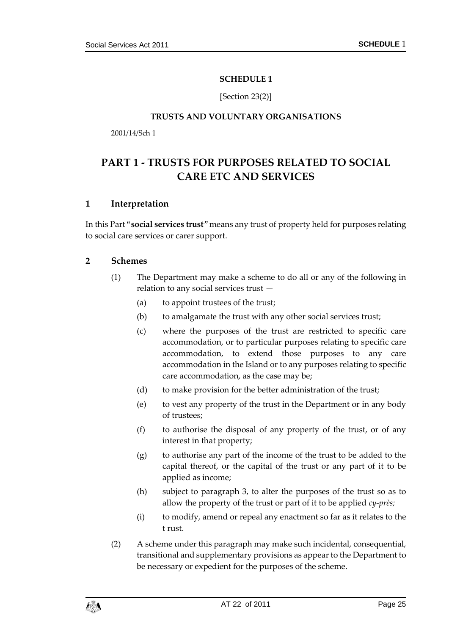#### **SCHEDULE 1**

[Section 23(2)]

#### **TRUSTS AND VOLUNTARY ORGANISATIONS**

<span id="page-24-1"></span><span id="page-24-0"></span>2001/14/Sch 1

# <span id="page-24-2"></span>**PART 1 - TRUSTS FOR PURPOSES RELATED TO SOCIAL CARE ETC AND SERVICES**

### **1 Interpretation**

In this Part "**social services trust**" means any trust of property held for purposes relating to social care services or carer support.

#### **2 Schemes**

- (1) The Department may make a scheme to do all or any of the following in relation to any social services trust —
	- (a) to appoint trustees of the trust;
	- (b) to amalgamate the trust with any other social services trust;
	- (c) where the purposes of the trust are restricted to specific care accommodation, or to particular purposes relating to specific care accommodation, to extend those purposes to any care accommodation in the Island or to any purposes relating to specific care accommodation, as the case may be;
	- (d) to make provision for the better administration of the trust;
	- (e) to vest any property of the trust in the Department or in any body of trustees;
	- (f) to authorise the disposal of any property of the trust, or of any interest in that property;
	- (g) to authorise any part of the income of the trust to be added to the capital thereof, or the capital of the trust or any part of it to be applied as income;
	- (h) subject to paragraph 3, to alter the purposes of the trust so as to allow the property of the trust or part of it to be applied *cy-près;*
	- (i) to modify, amend or repeal any enactment so far as it relates to the t rust.
- (2) A scheme under this paragraph may make such incidental, consequential, transitional and supplementary provisions as appear to the Department to be necessary or expedient for the purposes of the scheme.

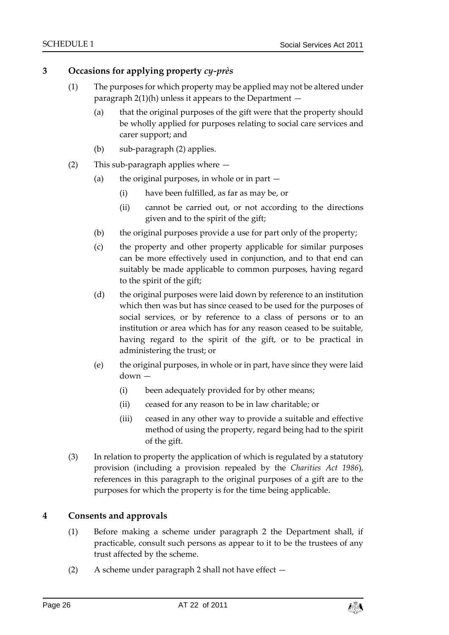# **3 Occasions for applying property** *cy-près*

- (1) The purposes for which property may be applied may not be altered under paragraph  $2(1)(h)$  unless it appears to the Department  $-$ 
	- (a) that the original purposes of the gift were that the property should be wholly applied for purposes relating to social care services and carer support; and
	- (b) sub-paragraph (2) applies.
- (2) This sub-paragraph applies where
	- (a) the original purposes, in whole or in part  $-$ 
		- (i) have been fulfilled, as far as may be, or
		- (ii) cannot be carried out, or not according to the directions given and to the spirit of the gift;
	- (b) the original purposes provide a use for part only of the property;
	- (c) the property and other property applicable for similar purposes can be more effectively used in conjunction, and to that end can suitably be made applicable to common purposes, having regard to the spirit of the gift;
	- (d) the original purposes were laid down by reference to an institution which then was but has since ceased to be used for the purposes of social services, or by reference to a class of persons or to an institution or area which has for any reason ceased to be suitable, having regard to the spirit of the gift, or to be practical in administering the trust; or
	- (e) the original purposes, in whole or in part, have since they were laid down —
		- (i) been adequately provided for by other means;
		- (ii) ceased for any reason to be in law charitable; or
		- (iii) ceased in any other way to provide a suitable and effective method of using the property, regard being had to the spirit of the gift.
- (3) In relation to property the application of which is regulated by a statutory provision (including a provision repealed by the *Charities Act 1986*), references in this paragraph to the original purposes of a gift are to the purposes for which the property is for the time being applicable.

### **4 Consents and approvals**

- (1) Before making a scheme under paragraph 2 the Department shall, if practicable, consult such persons as appear to it to be the trustees of any trust affected by the scheme.
- (2) A scheme under paragraph 2 shall not have effect —

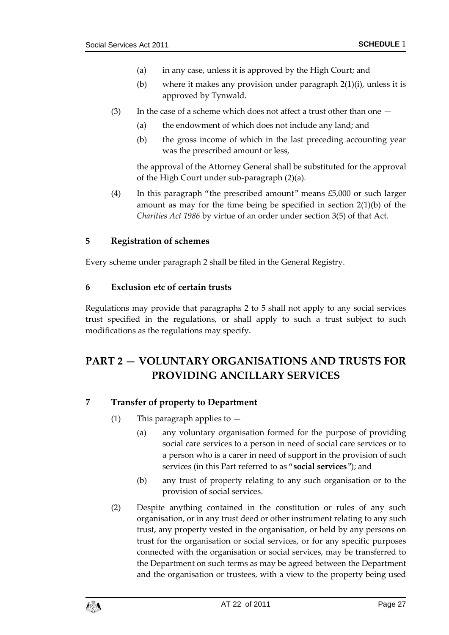- (a) in any case, unless it is approved by the High Court; and
- (b) where it makes any provision under paragraph 2(1)(i), unless it is approved by Tynwald.
- (3) In the case of a scheme which does not affect a trust other than one  $-$ 
	- (a) the endowment of which does not include any land; and
	- (b) the gross income of which in the last preceding accounting year was the prescribed amount or less,

the approval of the Attorney General shall be substituted for the approval of the High Court under sub-paragraph (2)(a).

(4) In this paragraph "the prescribed amount" means £5,000 or such larger amount as may for the time being be specified in section 2(1)(b) of the *Charities Act 1986* by virtue of an order under section 3(5) of that Act.

#### **5 Registration of schemes**

Every scheme under paragraph 2 shall be filed in the General Registry.

#### **6 Exclusion etc of certain trusts**

Regulations may provide that paragraphs 2 to 5 shall not apply to any social services trust specified in the regulations, or shall apply to such a trust subject to such modifications as the regulations may specify.

# <span id="page-26-0"></span>**PART 2 — VOLUNTARY ORGANISATIONS AND TRUSTS FOR PROVIDING ANCILLARY SERVICES**

### **7 Transfer of property to Department**

- (1) This paragraph applies to  $-$ 
	- (a) any voluntary organisation formed for the purpose of providing social care services to a person in need of social care services or to a person who is a carer in need of support in the provision of such services (in this Part referred to as "**social services**"); and
	- (b) any trust of property relating to any such organisation or to the provision of social services.
- (2) Despite anything contained in the constitution or rules of any such organisation, or in any trust deed or other instrument relating to any such trust, any property vested in the organisation, or held by any persons on trust for the organisation or social services, or for any specific purposes connected with the organisation or social services, may be transferred to the Department on such terms as may be agreed between the Department and the organisation or trustees, with a view to the property being used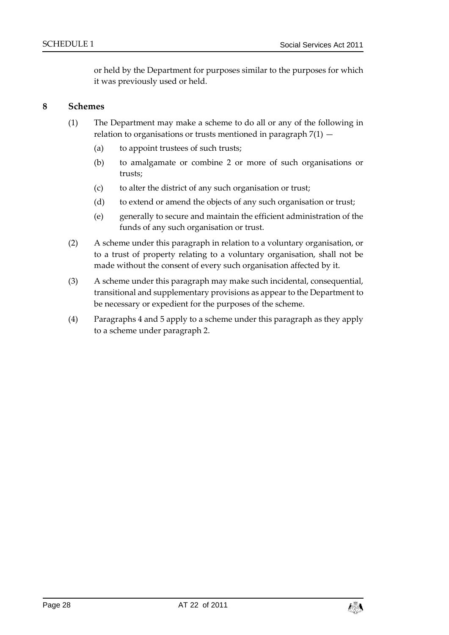or held by the Department for purposes similar to the purposes for which it was previously used or held.

#### **8 Schemes**

- (1) The Department may make a scheme to do all or any of the following in relation to organisations or trusts mentioned in paragraph  $7(1)$  -
	- (a) to appoint trustees of such trusts;
	- (b) to amalgamate or combine 2 or more of such organisations or trusts;
	- (c) to alter the district of any such organisation or trust;
	- (d) to extend or amend the objects of any such organisation or trust;
	- (e) generally to secure and maintain the efficient administration of the funds of any such organisation or trust.
- (2) A scheme under this paragraph in relation to a voluntary organisation, or to a trust of property relating to a voluntary organisation, shall not be made without the consent of every such organisation affected by it.
- (3) A scheme under this paragraph may make such incidental, consequential, transitional and supplementary provisions as appear to the Department to be necessary or expedient for the purposes of the scheme.
- (4) Paragraphs 4 and 5 apply to a scheme under this paragraph as they apply to a scheme under paragraph 2.

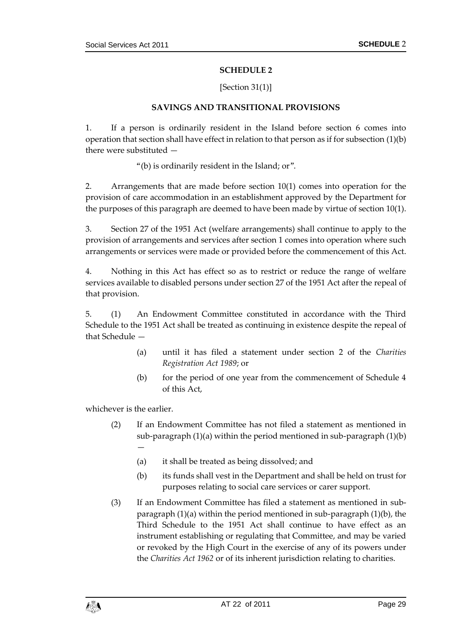#### **SCHEDULE 2**

#### [Section 31(1)]

#### **SAVINGS AND TRANSITIONAL PROVISIONS**

<span id="page-28-1"></span><span id="page-28-0"></span>1. If a person is ordinarily resident in the Island before section 6 comes into operation that section shall have effect in relation to that person as if for subsection (1)(b) there were substituted —

"(b) is ordinarily resident in the Island; or".

2. Arrangements that are made before section 10(1) comes into operation for the provision of care accommodation in an establishment approved by the Department for the purposes of this paragraph are deemed to have been made by virtue of section 10(1).

3. Section 27 of the 1951 Act (welfare arrangements) shall continue to apply to the provision of arrangements and services after section 1 comes into operation where such arrangements or services were made or provided before the commencement of this Act.

4. Nothing in this Act has effect so as to restrict or reduce the range of welfare services available to disabled persons under section 27 of the 1951 Act after the repeal of that provision.

5. (1) An Endowment Committee constituted in accordance with the Third Schedule to the 1951 Act shall be treated as continuing in existence despite the repeal of that Schedule —

- (a) until it has filed a statement under section 2 of the *Charities Registration Act 1989*; or
- (b) for the period of one year from the commencement of Schedule 4 of this Act,

whichever is the earlier.

—

- (2) If an Endowment Committee has not filed a statement as mentioned in sub-paragraph (1)(a) within the period mentioned in sub-paragraph (1)(b)
	- (a) it shall be treated as being dissolved; and
	- (b) its funds shall vest in the Department and shall be held on trust for purposes relating to social care services or carer support.
- (3) If an Endowment Committee has filed a statement as mentioned in subparagraph (1)(a) within the period mentioned in sub-paragraph (1)(b), the Third Schedule to the 1951 Act shall continue to have effect as an instrument establishing or regulating that Committee, and may be varied or revoked by the High Court in the exercise of any of its powers under the *Charities Act 1962* or of its inherent jurisdiction relating to charities.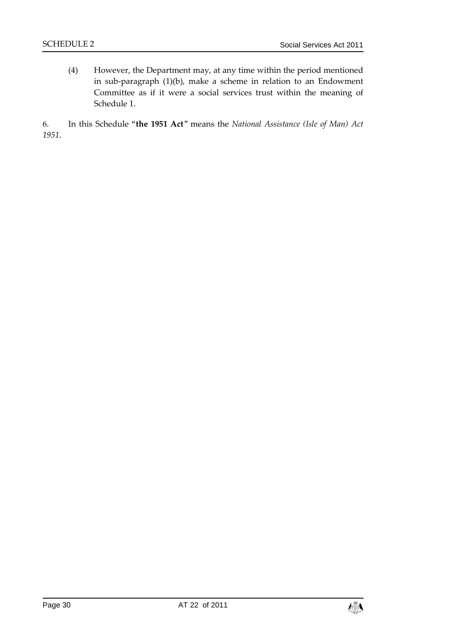(4) However, the Department may, at any time within the period mentioned in sub-paragraph (1)(b), make a scheme in relation to an Endowment Committee as if it were a social services trust within the meaning of Schedule 1.

6. In this Schedule "**the 1951 Act**" means the *National Assistance (Isle of Man) Act 1951*.

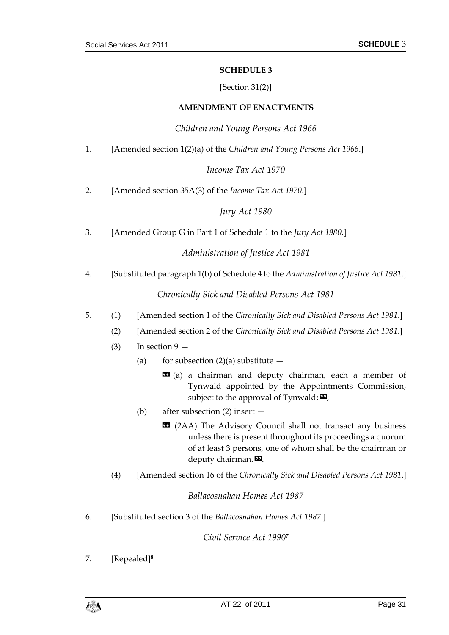#### **SCHEDULE 3**

#### [Section 31(2)]

#### **AMENDMENT OF ENACTMENTS**

#### *Children and Young Persons Act 1966*

<span id="page-30-1"></span><span id="page-30-0"></span>1. [Amended section 1(2)(a) of the *Children and Young Persons Act 1966*.]

#### *Income Tax Act 1970*

2. [Amended section 35A(3) of the *Income Tax Act 1970*.]

#### *Jury Act 1980*

3. [Amended Group G in Part 1 of Schedule 1 to the *Jury Act 1980*.]

### *Administration of Justice Act 1981*

4. [Substituted paragraph 1(b) of Schedule 4 to the *Administration of Justice Act 1981*.]

#### *Chronically Sick and Disabled Persons Act 1981*

- 5. (1) [Amended section 1 of the *Chronically Sick and Disabled Persons Act 1981*.]
	- (2) [Amended section 2 of the *Chronically Sick and Disabled Persons Act 1981*.]
	- (3) In section  $9 -$ 
		- (a) for subsection  $(2)(a)$  substitute  $-$ 
			- $\mathbf{G}$  (a) a chairman and deputy chairman, each a member of Tynwald appointed by the Appointments Commission, subject to the approval of Tynwald;  $\mathbf{E}$ ;
		- (b) after subsection (2) insert
			- $\text{12AA}$  (2AA) The Advisory Council shall not transact any business unless there is present throughout its proceedings a quorum of at least 3 persons, one of whom shall be the chairman or deputy chairman. $\boldsymbol{\mathsf{E}}$ .
	- (4) [Amended section 16 of the *Chronically Sick and Disabled Persons Act 1981*.]

#### *Ballacosnahan Homes Act 1987*

6. [Substituted section 3 of the *Ballacosnahan Homes Act 1987*.]

*Civil Service Act 1990<sup>7</sup>*

7. [Repealed]**<sup>8</sup>**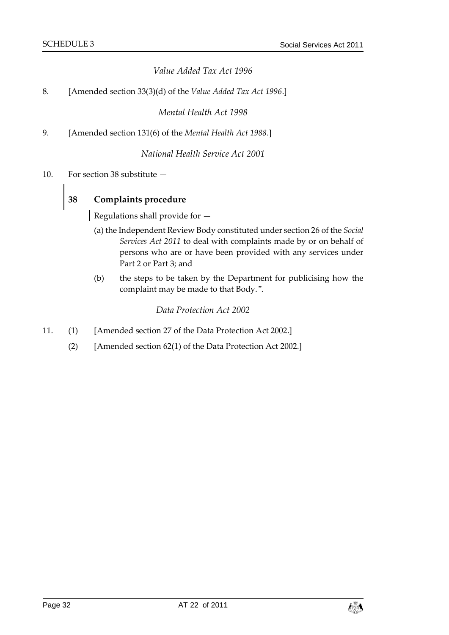### *Value Added Tax Act 1996*

8. [Amended section 33(3)(d) of the *Value Added Tax Act 1996*.]

*Mental Health Act 1998*

9. [Amended section 131(6) of the *Mental Health Act 1988*.]

*National Health Service Act 2001*

10. For section 38 substitute —

# **38 Complaints procedure**

Regulations shall provide for —

- (a) the Independent Review Body constituted under section 26 of the *Social Services Act 2011* to deal with complaints made by or on behalf of persons who are or have been provided with any services under Part 2 or Part 3; and
- (b) the steps to be taken by the Department for publicising how the complaint may be made to that Body.".

#### *Data Protection Act 2002*

- 11. (1) [Amended section 27 of the Data Protection Act 2002.]
	- (2) [Amended section 62(1) of the Data Protection Act 2002.]

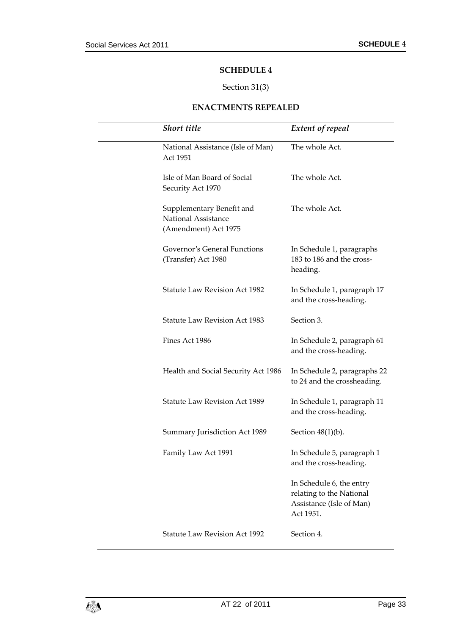#### **SCHEDULE 4**

# Section 31(3)

#### **ENACTMENTS REPEALED**

<span id="page-32-1"></span><span id="page-32-0"></span>

| <b>Short title</b>                                                       | <b>Extent of repeal</b>                                                                       |
|--------------------------------------------------------------------------|-----------------------------------------------------------------------------------------------|
| National Assistance (Isle of Man)<br>Act 1951                            | The whole Act.                                                                                |
| Isle of Man Board of Social<br>Security Act 1970                         | The whole Act.                                                                                |
| Supplementary Benefit and<br>National Assistance<br>(Amendment) Act 1975 | The whole Act.                                                                                |
| Governor's General Functions<br>(Transfer) Act 1980                      | In Schedule 1, paragraphs<br>183 to 186 and the cross-<br>heading.                            |
| <b>Statute Law Revision Act 1982</b>                                     | In Schedule 1, paragraph 17<br>and the cross-heading.                                         |
| <b>Statute Law Revision Act 1983</b>                                     | Section 3.                                                                                    |
| Fines Act 1986                                                           | In Schedule 2, paragraph 61<br>and the cross-heading.                                         |
| Health and Social Security Act 1986                                      | In Schedule 2, paragraphs 22<br>to 24 and the crossheading.                                   |
| <b>Statute Law Revision Act 1989</b>                                     | In Schedule 1, paragraph 11<br>and the cross-heading.                                         |
| Summary Jurisdiction Act 1989                                            | Section $48(1)(b)$ .                                                                          |
| Family Law Act 1991                                                      | In Schedule 5, paragraph 1<br>and the cross-heading.                                          |
|                                                                          | In Schedule 6, the entry<br>relating to the National<br>Assistance (Isle of Man)<br>Act 1951. |
| <b>Statute Law Revision Act 1992</b>                                     | Section 4.                                                                                    |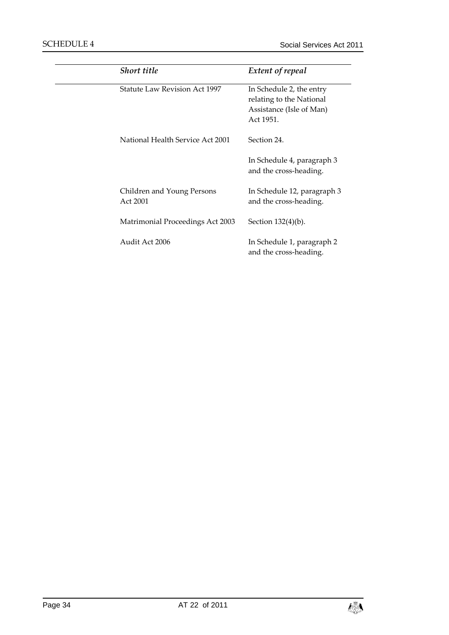| <b>Short title</b>                     | <b>Extent of repeal</b>                                                                       |
|----------------------------------------|-----------------------------------------------------------------------------------------------|
| <b>Statute Law Revision Act 1997</b>   | In Schedule 2, the entry<br>relating to the National<br>Assistance (Isle of Man)<br>Act 1951. |
| National Health Service Act 2001       | Section 24.                                                                                   |
|                                        | In Schedule 4, paragraph 3<br>and the cross-heading.                                          |
| Children and Young Persons<br>Act 2001 | In Schedule 12, paragraph 3<br>and the cross-heading.                                         |
| Matrimonial Proceedings Act 2003       | Section 132(4)(b).                                                                            |
| Audit Act 2006                         | In Schedule 1, paragraph 2<br>and the cross-heading.                                          |